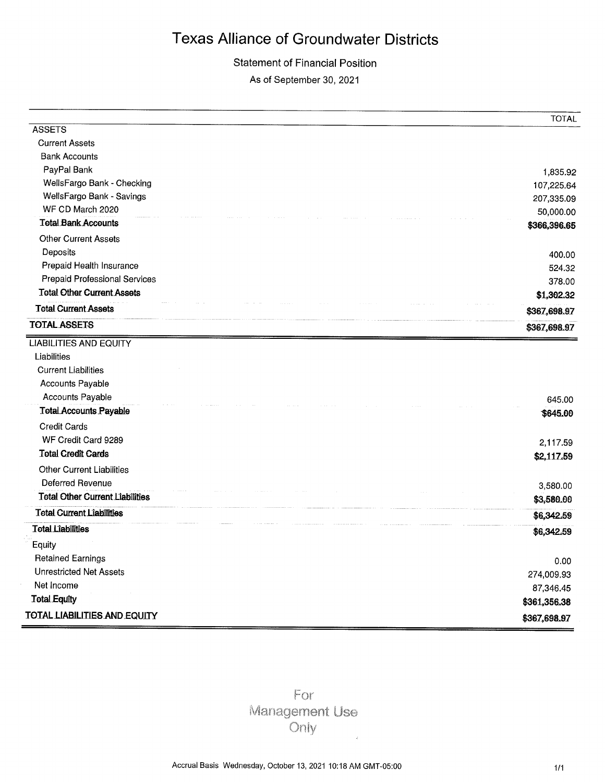### **Statement of Financial Position**

As of September 30, 2021

|                                                         | <b>TOTAL</b>              |
|---------------------------------------------------------|---------------------------|
| <b>ASSETS</b>                                           |                           |
| <b>Current Assets</b>                                   |                           |
| <b>Bank Accounts</b>                                    |                           |
| PayPal Bank                                             | 1,835.92                  |
| WellsFargo Bank - Checking<br>WellsFargo Bank - Savings | 107,225.64                |
| WF CD March 2020                                        | 207,335.09                |
| <b>Tetal Bank Accounts</b>                              | 50,000.00                 |
| <b>Other Current Assets</b>                             | \$366,396.65              |
| Deposits                                                | 400.00                    |
| Prepaid Health Insurance                                | 524.32                    |
| Prepaid Professional Services                           | 378.00                    |
| <b>Tetal Other Current Assets</b>                       | \$1,302.32                |
| <b>Total Current Assets</b>                             | \$367,698.97              |
| <b>TOTAL ASSETS</b>                                     | \$367,698.97              |
| <b>LIABILITIES AND EQUITY</b>                           |                           |
| Liabilities                                             |                           |
| <b>Current Liabilities</b>                              |                           |
| Accounts Payable                                        |                           |
| Accounts Payable                                        | 645.00                    |
| <b>Total Accounts Payable</b>                           | \$645.00                  |
| <b>Credit Cards</b>                                     |                           |
| WF Credit Card 9289                                     | 2,117.59                  |
| <b>Total Credit Cards</b>                               | \$2,117.59                |
| <b>Other Current Liabilities</b>                        |                           |
| Deferred Revenue                                        | 3,580.00                  |
| <b>Total Other Current Liabilities</b>                  | \$3,580.00                |
| <b>Total Current Liabilities</b>                        | \$6,342.59                |
|                                                         |                           |
| <b>Total Liabilities</b>                                |                           |
| Equity                                                  | \$6,342.59                |
| <b>Retained Earnings</b>                                |                           |
| <b>Unrestricted Net Assets</b>                          | 0.00                      |
| Net Income                                              | 274,009.93                |
| <b>Total Equity</b>                                     | 87,346.45<br>\$361,356.38 |

For **Management Use** Only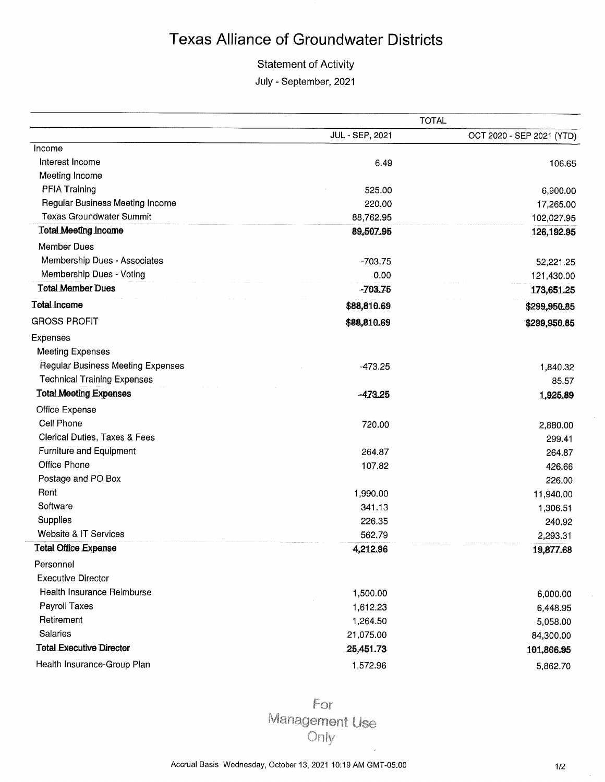### **Statement of Activity**

July - September, 2021

|                                    |                 | <b>TOTAL</b>              |
|------------------------------------|-----------------|---------------------------|
|                                    | JUL - SEP, 2021 | OCT 2020 - SEP 2021 (YTD) |
| Income                             |                 |                           |
| Interest Income                    | 6.49            | 106.65                    |
| Meeting Income                     |                 |                           |
| PFIA Training                      | 525.00          | 6,900.00                  |
| Regular Business Meeting Income    | 220.00          | 17,265.00                 |
| <b>Texas Groundwater Summit</b>    | 88,762.95       | 102,027.95                |
| <b>Total Meeting Income</b>        | 89,507.95       | 126,192.95                |
| <b>Member Dues</b>                 |                 |                           |
| Membership Dues - Associates       | $-703.75$       | 52,221.25                 |
| Membership Dues - Voting           | 0.00            | 121,430.00                |
| <b>Total Member Dues</b>           | $-703.75$       | 173,651.25                |
| <b>Total Income</b>                | \$88,810.69     | \$299,950.85              |
| <b>GROSS PROFIT</b>                | \$88,810.69     | \$299,950.85              |
| Expenses                           |                 |                           |
| <b>Meeting Expenses</b>            |                 |                           |
| Regular Business Meeting Expenses  | $-473.25$       | 1,840.32                  |
| <b>Technical Training Expenses</b> |                 | 85.57                     |
| <b>Total Meeting Expenses</b>      | $-473.25$       | 1,925.89                  |
| Office Expense                     |                 |                           |
| Cell Phone                         | 720.00          | 2,880.00                  |
| Clerical Duties, Taxes & Fees      |                 | 299.41                    |
| Furniture and Equipment            | 264.87          | 264.87                    |
| Office Phone                       | 107.82          | 426.66                    |
| Postage and PO Box                 |                 | 226.00                    |
| Rent                               | 1,990.00        | 11,940.00                 |
| Software                           | 341.13          | 1,306.51                  |
| Supplies                           | 226.35          | 240.92                    |
| Website & IT Services              | 562.79          | 2,293.31                  |
| <b>Total Office Expense</b>        | 4,212.96        | 19,877.68                 |
| Personnel                          |                 |                           |
| <b>Executive Director</b>          |                 |                           |
| Health Insurance Reimburse         | 1,500.00        | 6,000.00                  |
| Payroll Taxes                      | 1,612.23        | 6,448.95                  |
| Retirement                         | 1,264.50        | 5,058.00                  |
| Salaries                           | 21,075.00       | 84,300.00                 |
| <b>Total Executive Director</b>    | 25,451.73       | 101,806.95                |
| Health Insurance-Group Plan        | 1,572.96        | 5,862.70                  |
|                                    |                 |                           |

For Management Use Only

l.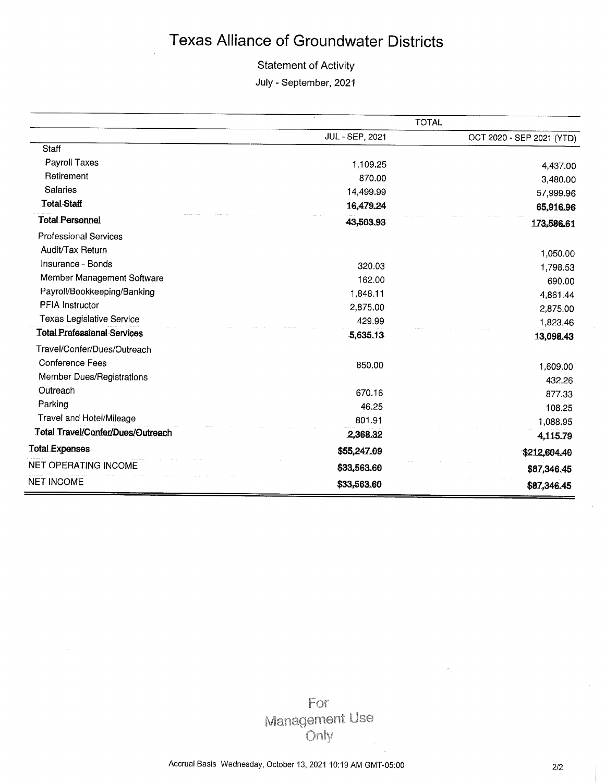### **Statement of Activity**

July - September, 2021

|                                    |                 | <b>TOTAL</b>              |
|------------------------------------|-----------------|---------------------------|
|                                    | JUL - SEP, 2021 | OCT 2020 - SEP 2021 (YTD) |
| Staff                              |                 |                           |
| Payroll Taxes                      | 1,109.25        | 4,437.00                  |
| Retirement                         | 870.00          | 3,480.00                  |
| <b>Salaries</b>                    | 14,499.99       | 57,999.96                 |
| <b>Total Staff</b>                 | 16,479.24       | 65,916.96                 |
| <b>Total Personnel</b>             | 43,503.93       | 173,586.61                |
| <b>Professional Services</b>       |                 |                           |
| Audit/Tax Return                   |                 | 1,050.00                  |
| Insurance - Bonds                  | 320.03          | 1,798.53                  |
| Member Management Software         | 162.00          | 690.00                    |
| Payroll/Bookkeeping/Banking        | 1,848.11        | 4,861.44                  |
| <b>PFIA Instructor</b>             | 2,875.00        | 2,875.00                  |
| <b>Texas Legislative Service</b>   | 429.99          | 1,823.46                  |
| <b>Total Professional Services</b> | -5,635.13       | 13,098.43                 |
| Travel/Confer/Dues/Outreach        |                 |                           |
| Conference Fees                    | 850.00          | 1,609.00                  |
| Member Dues/Registrations          |                 | 432.26                    |
| Outreach                           | 670.16          | 877.33                    |
| Parking                            | 46.25           | 108.25                    |
| <b>Travel and Hotel/Mileage</b>    | 801.91          | 1,088.95                  |
| Total Travel/Confer/Dues/Outreach  | 2,368.32        | 4,115.79                  |
| <b>Total Expenses</b>              | \$55,247.09     | \$212,604.40              |
| <b>NET OPERATING INCOME</b>        | \$33,563.60     | \$87,346.45               |
| <b>NET INCOME</b>                  | \$33,563.60     | \$87,346.45               |

For Management Use Only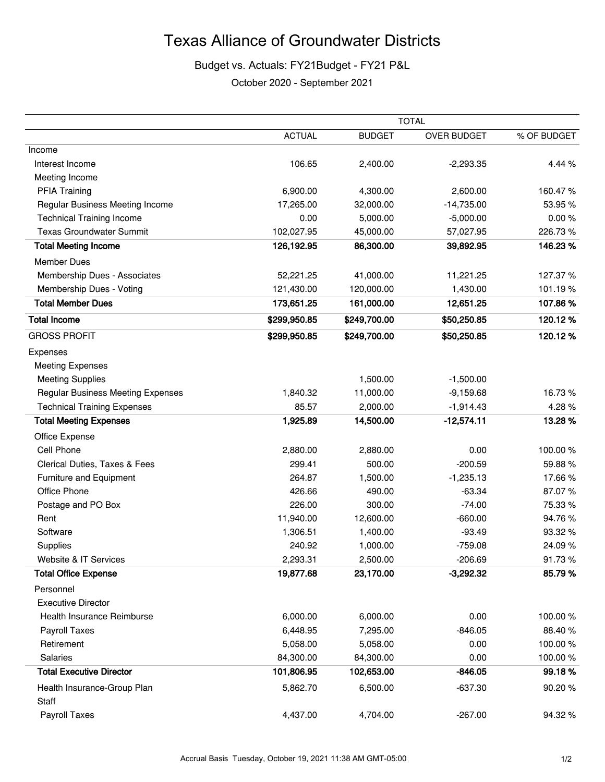### Budget vs. Actuals: FY21Budget - FY21 P&L

October 2020 - September 2021

|                                          |               |               | <b>TOTAL</b> |             |
|------------------------------------------|---------------|---------------|--------------|-------------|
|                                          | <b>ACTUAL</b> | <b>BUDGET</b> | OVER BUDGET  | % OF BUDGET |
| Income                                   |               |               |              |             |
| Interest Income                          | 106.65        | 2,400.00      | $-2,293.35$  | 4.44 %      |
| Meeting Income                           |               |               |              |             |
| <b>PFIA Training</b>                     | 6,900.00      | 4,300.00      | 2,600.00     | 160.47%     |
| Regular Business Meeting Income          | 17,265.00     | 32,000.00     | $-14,735.00$ | 53.95%      |
| <b>Technical Training Income</b>         | 0.00          | 5,000.00      | $-5,000.00$  | 0.00%       |
| <b>Texas Groundwater Summit</b>          | 102,027.95    | 45,000.00     | 57,027.95    | 226.73%     |
| <b>Total Meeting Income</b>              | 126,192.95    | 86,300.00     | 39,892.95    | 146.23%     |
| <b>Member Dues</b>                       |               |               |              |             |
| Membership Dues - Associates             | 52,221.25     | 41,000.00     | 11,221.25    | 127.37%     |
| Membership Dues - Voting                 | 121,430.00    | 120,000.00    | 1,430.00     | 101.19%     |
| <b>Total Member Dues</b>                 | 173,651.25    | 161,000.00    | 12,651.25    | 107.86%     |
| <b>Total Income</b>                      | \$299,950.85  | \$249,700.00  | \$50,250.85  | 120.12%     |
| <b>GROSS PROFIT</b>                      | \$299,950.85  | \$249,700.00  | \$50,250.85  | 120.12%     |
| Expenses                                 |               |               |              |             |
| <b>Meeting Expenses</b>                  |               |               |              |             |
| <b>Meeting Supplies</b>                  |               | 1,500.00      | $-1,500.00$  |             |
| <b>Regular Business Meeting Expenses</b> | 1,840.32      | 11,000.00     | $-9,159.68$  | 16.73%      |
| <b>Technical Training Expenses</b>       | 85.57         | 2,000.00      | $-1,914.43$  | 4.28%       |
| <b>Total Meeting Expenses</b>            | 1,925.89      | 14,500.00     | $-12,574.11$ | 13.28%      |
| Office Expense                           |               |               |              |             |
| Cell Phone                               | 2,880.00      | 2,880.00      | 0.00         | 100.00%     |
| Clerical Duties, Taxes & Fees            | 299.41        | 500.00        | $-200.59$    | 59.88%      |
| Furniture and Equipment                  | 264.87        | 1,500.00      | $-1,235.13$  | 17.66%      |
| Office Phone                             | 426.66        | 490.00        | $-63.34$     | 87.07%      |
| Postage and PO Box                       | 226.00        | 300.00        | $-74.00$     | 75.33 %     |
| Rent                                     | 11,940.00     | 12,600.00     | $-660.00$    | 94.76%      |
| Software                                 | 1,306.51      | 1,400.00      | $-93.49$     | 93.32%      |
| Supplies                                 | 240.92        | 1,000.00      | $-759.08$    | 24.09%      |
| Website & IT Services                    | 2,293.31      | 2,500.00      | $-206.69$    | 91.73%      |
| <b>Total Office Expense</b>              | 19,877.68     | 23,170.00     | $-3,292.32$  | 85.79%      |
| Personnel                                |               |               |              |             |
| <b>Executive Director</b>                |               |               |              |             |
| Health Insurance Reimburse               | 6,000.00      | 6,000.00      | 0.00         | 100.00%     |
| Payroll Taxes                            | 6,448.95      | 7,295.00      | $-846.05$    | 88.40%      |
| Retirement                               | 5,058.00      | 5,058.00      | 0.00         | 100.00%     |
| Salaries                                 | 84,300.00     | 84,300.00     | 0.00         | 100.00%     |
| <b>Total Executive Director</b>          | 101,806.95    | 102,653.00    | $-846.05$    | 99.18%      |
| Health Insurance-Group Plan<br>Staff     | 5,862.70      | 6,500.00      | $-637.30$    | 90.20%      |
| Payroll Taxes                            | 4,437.00      | 4,704.00      | $-267.00$    | 94.32%      |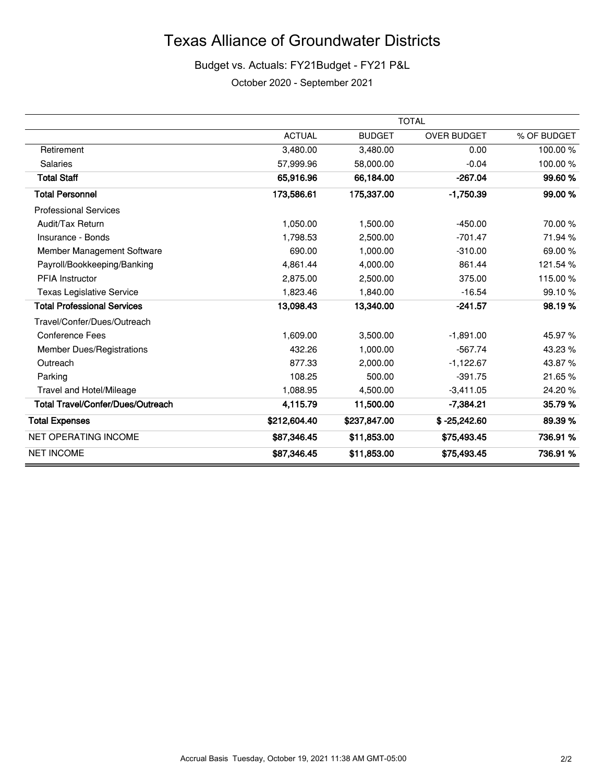### Budget vs. Actuals: FY21Budget - FY21 P&L

October 2020 - September 2021

|                                    | <b>TOTAL</b>  |               |                    |             |  |  |  |  |
|------------------------------------|---------------|---------------|--------------------|-------------|--|--|--|--|
|                                    | <b>ACTUAL</b> | <b>BUDGET</b> | <b>OVER BUDGET</b> | % OF BUDGET |  |  |  |  |
| Retirement                         | 3,480.00      | 3,480.00      | 0.00               | 100.00%     |  |  |  |  |
| <b>Salaries</b>                    | 57,999.96     | 58,000.00     | $-0.04$            | 100.00%     |  |  |  |  |
| <b>Total Staff</b>                 | 65,916.96     | 66,184.00     | $-267.04$          | 99.60%      |  |  |  |  |
| <b>Total Personnel</b>             | 173,586.61    | 175,337.00    | $-1,750.39$        | 99.00 %     |  |  |  |  |
| <b>Professional Services</b>       |               |               |                    |             |  |  |  |  |
| Audit/Tax Return                   | 1,050.00      | 1,500.00      | $-450.00$          | 70.00 %     |  |  |  |  |
| Insurance - Bonds                  | 1.798.53      | 2,500.00      | $-701.47$          | 71.94 %     |  |  |  |  |
| Member Management Software         | 690.00        | 1,000.00      | $-310.00$          | 69.00 %     |  |  |  |  |
| Payroll/Bookkeeping/Banking        | 4,861.44      | 4,000.00      | 861.44             | 121.54%     |  |  |  |  |
| <b>PFIA Instructor</b>             | 2,875.00      | 2,500.00      | 375.00             | 115.00 %    |  |  |  |  |
| <b>Texas Legislative Service</b>   | 1,823.46      | 1,840.00      | $-16.54$           | 99.10%      |  |  |  |  |
| <b>Total Professional Services</b> | 13,098.43     | 13,340.00     | $-241.57$          | 98.19%      |  |  |  |  |
| Travel/Confer/Dues/Outreach        |               |               |                    |             |  |  |  |  |
| <b>Conference Fees</b>             | 1,609.00      | 3,500.00      | $-1,891.00$        | 45.97 %     |  |  |  |  |
| <b>Member Dues/Registrations</b>   | 432.26        | 1.000.00      | $-567.74$          | 43.23 %     |  |  |  |  |
| Outreach                           | 877.33        | 2,000.00      | $-1,122.67$        | 43.87%      |  |  |  |  |
| Parking                            | 108.25        | 500.00        | $-391.75$          | 21.65%      |  |  |  |  |
| Travel and Hotel/Mileage           | 1,088.95      | 4,500.00      | $-3,411.05$        | 24.20%      |  |  |  |  |
| Total Travel/Confer/Dues/Outreach  | 4,115.79      | 11,500.00     | $-7,384.21$        | 35.79%      |  |  |  |  |
| <b>Total Expenses</b>              | \$212,604.40  | \$237,847.00  | $$ -25,242.60$     | 89.39%      |  |  |  |  |
| <b>NET OPERATING INCOME</b>        | \$87,346.45   | \$11,853.00   | \$75,493.45        | 736.91 %    |  |  |  |  |
| <b>NET INCOME</b>                  | \$87,346.45   | \$11,853.00   | \$75,493.45        | 736.91 %    |  |  |  |  |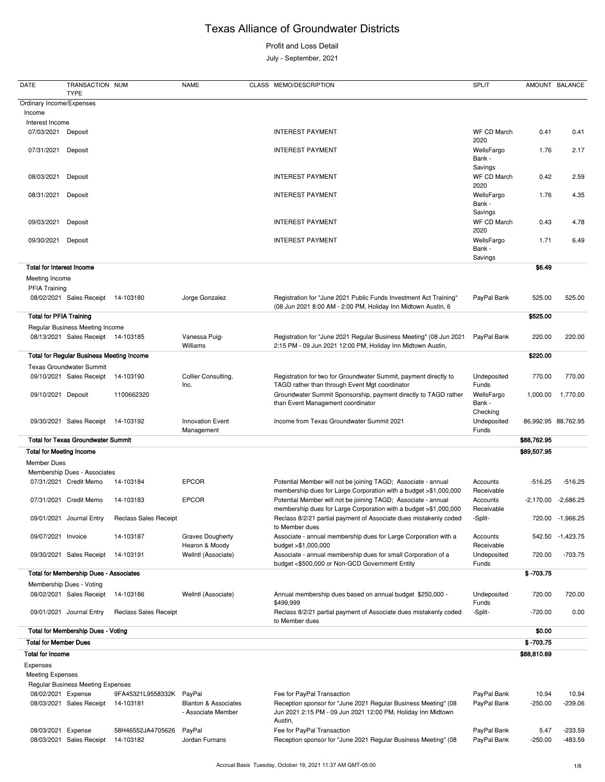Profit and Loss Detail

July - September, 2021

#### **Total for Membership Dues - Voting \$0.00 Total for Member Dues \$ -703.75 Total for Income \$88,810.69** Expenses Meeting Expenses Regular Business Meeting Expenses 08/02/2021 Expense 9FA45321L9558332K PayPal expendition Fee for PayPal Transaction expendition PayPal Bank 10.94 10.94 08/03/2021 Sales Receipt 14-103181 Blanton & Associates - Associate Member Reception sponsor for "June 2021 Regular Business Meeting" (08 Jun 2021 2:15 PM - 09 Jun 2021 12:00 PM, Holiday Inn Midtown PayPal Bank -250.00 -239.06

| <b>DATE</b>                      | TRANSACTION NUM<br><b>TYPE</b>                   |                              | <b>NAME</b>                               | CLASS MEMO/DESCRIPTION                                                                                                             | <b>SPLIT</b>                     | <b>AMOUNT</b> | <b>BALANCE</b>      |
|----------------------------------|--------------------------------------------------|------------------------------|-------------------------------------------|------------------------------------------------------------------------------------------------------------------------------------|----------------------------------|---------------|---------------------|
| Ordinary Income/Expenses         |                                                  |                              |                                           |                                                                                                                                    |                                  |               |                     |
| Income                           |                                                  |                              |                                           |                                                                                                                                    |                                  |               |                     |
| Interest Income                  |                                                  |                              |                                           |                                                                                                                                    |                                  |               |                     |
| 07/03/2021                       | Deposit                                          |                              |                                           | <b>INTEREST PAYMENT</b>                                                                                                            | WF CD March<br>2020              | 0.41          | 0.41                |
| 07/31/2021                       | Deposit                                          |                              |                                           | <b>INTEREST PAYMENT</b>                                                                                                            | WellsFargo<br>Bank -             | 1.76          | 2.17                |
| 08/03/2021                       | Deposit                                          |                              |                                           | <b>INTEREST PAYMENT</b>                                                                                                            | Savings<br>WF CD March<br>2020   | 0.42          | 2.59                |
| 08/31/2021                       | Deposit                                          |                              |                                           | <b>INTEREST PAYMENT</b>                                                                                                            | WellsFargo<br>Bank -             | 1.76          | 4.35                |
| 09/03/2021                       | Deposit                                          |                              |                                           | <b>INTEREST PAYMENT</b>                                                                                                            | Savings<br>WF CD March<br>2020   | 0.43          | 4.78                |
| 09/30/2021                       | Deposit                                          |                              |                                           | <b>INTEREST PAYMENT</b>                                                                                                            | WellsFargo<br>Bank -<br>Savings  | 1.71          | 6.49                |
| <b>Total for Interest Income</b> |                                                  |                              |                                           |                                                                                                                                    |                                  | \$6.49        |                     |
| Meeting Income<br>PFIA Training  |                                                  |                              |                                           |                                                                                                                                    |                                  |               |                     |
|                                  | 08/02/2021 Sales Receipt                         | 14-103180                    | Jorge Gonzalez                            | Registration for "June 2021 Public Funds Investment Act Training"<br>(08 Jun 2021 8:00 AM - 2:00 PM, Holiday Inn Midtown Austin, 6 | PayPal Bank                      | 525.00        | 525.00              |
| <b>Total for PFIA Training</b>   |                                                  |                              |                                           |                                                                                                                                    |                                  | \$525.00      |                     |
|                                  | Regular Business Meeting Income                  |                              |                                           |                                                                                                                                    |                                  |               |                     |
|                                  | 08/13/2021 Sales Receipt 14-103185               |                              | Vanessa Puig-<br>Williams                 | Registration for "June 2021 Regular Business Meeting" (08 Jun 2021<br>2:15 PM - 09 Jun 2021 12:00 PM, Holiday Inn Midtown Austin,  | PayPal Bank                      | 220.00        | 220.00              |
|                                  | <b>Total for Regular Business Meeting Income</b> |                              |                                           |                                                                                                                                    |                                  | \$220.00      |                     |
|                                  | <b>Texas Groundwater Summit</b>                  |                              |                                           |                                                                                                                                    |                                  |               |                     |
|                                  | 09/10/2021 Sales Receipt                         | 14-103190                    | Collier Consulting,<br>Inc.               | Registration for two for Groundwater Summit, payment directly to<br>TAGD rather than through Event Mgt coordinator                 | Undeposited<br>Funds             | 770.00        | 770.00              |
| 09/10/2021 Deposit               |                                                  | 1100662320                   |                                           | Groundwater Summit Sponsorship, payment directly to TAGD rather<br>than Event Management coordinator                               | WellsFargo<br>Bank -<br>Checking | 1,000.00      | 1,770.00            |
|                                  | 09/30/2021 Sales Receipt 14-103192               |                              | <b>Innovation Event</b><br>Management     | Income from Texas Groundwater Summit 2021                                                                                          | Undeposited<br>Funds             |               | 86,992.95 88,762.95 |
|                                  | <b>Total for Texas Groundwater Summit</b>        |                              |                                           |                                                                                                                                    |                                  | \$88,762.95   |                     |
| <b>Total for Meeting Income</b>  |                                                  |                              |                                           |                                                                                                                                    |                                  | \$89,507.95   |                     |
| <b>Member Dues</b>               |                                                  |                              |                                           |                                                                                                                                    |                                  |               |                     |
|                                  | Membership Dues - Associates                     |                              |                                           |                                                                                                                                    |                                  |               |                     |
|                                  | 07/31/2021 Credit Memo                           | 14-103184                    | <b>EPCOR</b>                              | Potential Member will not be joining TAGD; Associate - annual<br>membership dues for Large Corporation with a budget >\$1,000,000  | Accounts<br>Receivable           | $-516.25$     | $-516.25$           |
|                                  | 07/31/2021 Credit Memo                           | 14-103183                    | <b>EPCOR</b>                              | Potential Member will not be joining TAGD; Associate - annual<br>membership dues for Large Corporation with a budget >\$1,000,000  | Accounts<br>Receivable           | $-2,170.00$   | -2,686.25           |
|                                  | 09/01/2021 Journal Entry                         | <b>Reclass Sales Receipt</b> |                                           | Reclass 8/2/21 partial payment of Associate dues mistakenly coded<br>to Member dues                                                | -Split-                          |               | 720.00 -1,966.25    |
| 09/07/2021 Invoice               |                                                  | 14-103187                    | <b>Graves Dougherty</b><br>Hearon & Moody | Associate - annual membership dues for Large Corporation with a<br>budget >\$1,000,000                                             | Accounts<br>Receivable           |               | 542.50 -1,423.75    |
|                                  | 09/30/2021 Sales Receipt                         | 14-103191                    | Wellntl (Associate)                       | Associate - annual membership dues for small Corporation of a<br>budget <\$500,000 or Non-GCD Government Entity                    | Undeposited<br>Funds             | 720.00        | $-703.75$           |
|                                  | <b>Total for Membership Dues - Associates</b>    |                              |                                           |                                                                                                                                    |                                  | $$ -703.75$   |                     |
|                                  | Membership Dues - Voting                         |                              |                                           |                                                                                                                                    |                                  |               |                     |
|                                  | 08/02/2021 Sales Receipt                         | 14-103186                    | Wellntl (Associate)                       | Annual membership dues based on annual budget \$250,000 -<br>\$499,999                                                             | Undeposited<br>Funds             | 720.00        | 720.00              |
|                                  | 09/01/2021 Journal Entry                         | <b>Reclass Sales Receipt</b> |                                           | Reclass 8/2/21 partial payment of Associate dues mistakenly coded<br>to Member dues                                                | -Split-                          | $-720.00$     | 0.00                |

Austin, 08/03/2021 Expense 58H46552JA4705626 PayPal expenditum Fee for PayPal Transaction PayPal Bank 5.47 -233.59 08/03/2021 Sales Receipt 14-103182 Jordan Furnans Reception sponsor for "June 2021 Regular Business Meeting" (08 PayPal Bank -250.00 -483.59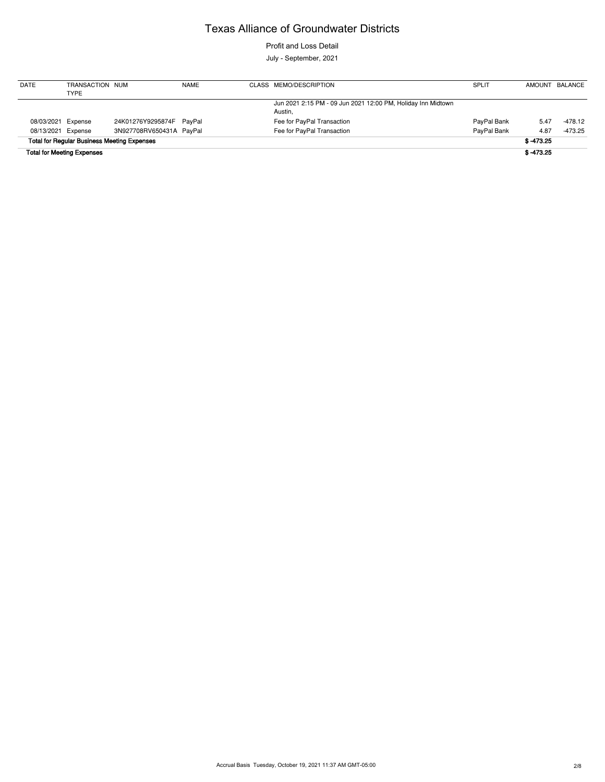Profit and Loss Detail

July - September, 2021

| <b>DATE</b>        | TRANSACTION NUM<br>TYPE                            |                          | <b>NAME</b> | CLASS MEMO/DESCRIPTION                                       | <b>SPLIT</b> |             | AMOUNT BALANCE |
|--------------------|----------------------------------------------------|--------------------------|-------------|--------------------------------------------------------------|--------------|-------------|----------------|
|                    |                                                    |                          |             | Jun 2021 2:15 PM - 09 Jun 2021 12:00 PM, Holiday Inn Midtown |              |             |                |
|                    |                                                    |                          |             | Austin,                                                      |              |             |                |
| 08/03/2021 Expense |                                                    | 24K01276Y9295874F PayPal |             | Fee for PayPal Transaction                                   | PayPal Bank  | 5.47        | -478.12        |
| 08/13/2021 Expense |                                                    | 3N927708RV650431A PayPal |             | Fee for PayPal Transaction                                   | PayPal Bank  | 4.87        | -473.25        |
|                    | <b>Total for Regular Business Meeting Expenses</b> |                          |             |                                                              |              | $$ -473.25$ |                |
|                    | <b>Total for Meeting Expenses</b>                  |                          |             |                                                              |              | $$ -473.25$ |                |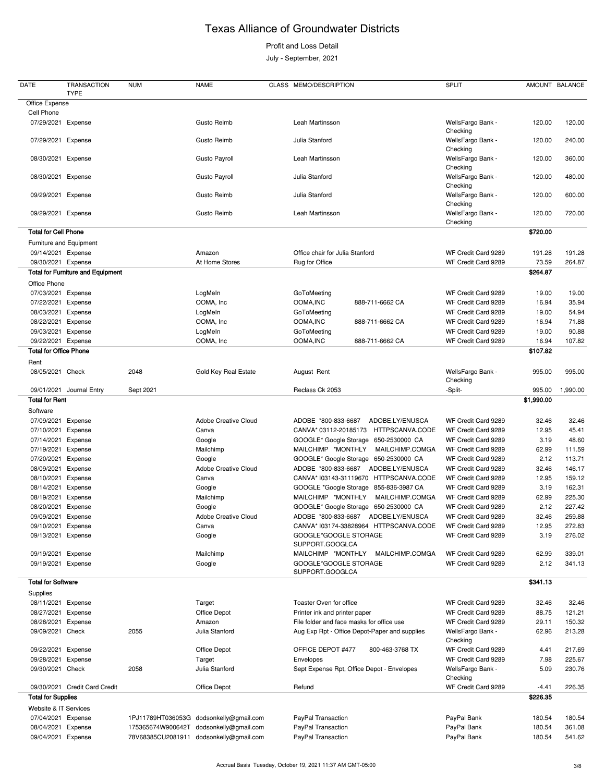### Profit and Loss Detail

July - September, 2021

| DATE                              | <b>TRANSACTION</b><br><b>TYPE</b>        | <b>NUM</b>        | <b>NAME</b>                             | CLASS MEMO/DESCRIPTION                        | <b>SPLIT</b>                  | AMOUNT BALANCE |                 |
|-----------------------------------|------------------------------------------|-------------------|-----------------------------------------|-----------------------------------------------|-------------------------------|----------------|-----------------|
| Office Expense                    |                                          |                   |                                         |                                               |                               |                |                 |
| Cell Phone                        |                                          |                   |                                         |                                               |                               |                |                 |
| 07/29/2021                        | Expense                                  |                   | <b>Gusto Reimb</b>                      | Leah Martinsson                               | WellsFargo Bank -<br>Checking | 120.00         | 120.00          |
| 07/29/2021 Expense                |                                          |                   | Gusto Reimb                             | Julia Stanford                                | WellsFargo Bank -<br>Checking | 120.00         | 240.00          |
| 08/30/2021 Expense                |                                          |                   | <b>Gusto Payroll</b>                    | Leah Martinsson                               | WellsFargo Bank -<br>Checking | 120.00         | 360.00          |
| 08/30/2021 Expense                |                                          |                   | Gusto Payroll                           | Julia Stanford                                | WellsFargo Bank -<br>Checking | 120.00         | 480.00          |
| 09/29/2021 Expense                |                                          |                   | Gusto Reimb                             | Julia Stanford                                | WellsFargo Bank -<br>Checking | 120.00         | 600.00          |
| 09/29/2021 Expense                |                                          |                   | Gusto Reimb                             | Leah Martinsson                               | WellsFargo Bank -<br>Checking | 120.00         | 720.00          |
| <b>Total for Cell Phone</b>       |                                          |                   |                                         |                                               |                               | \$720.00       |                 |
| Furniture and Equipment           |                                          |                   |                                         |                                               |                               |                |                 |
| 09/14/2021 Expense                |                                          |                   | Amazon                                  | Office chair for Julia Stanford               | WF Credit Card 9289           | 191.28         | 191.28          |
| 09/30/2021 Expense                |                                          |                   | At Home Stores                          | Rug for Office                                | WF Credit Card 9289           | 73.59          | 264.87          |
|                                   | <b>Total for Furniture and Equipment</b> |                   |                                         |                                               |                               | \$264.87       |                 |
| Office Phone                      |                                          |                   |                                         |                                               |                               |                |                 |
| 07/03/2021 Expense                |                                          |                   | LogMeIn                                 | GoToMeeting                                   | WF Credit Card 9289           | 19.00          | 19.00           |
| 07/22/2021                        | Expense                                  |                   | OOMA, Inc                               | OOMA, INC<br>888-711-6662 CA                  | WF Credit Card 9289           | 16.94          | 35.94           |
| 08/03/2021                        | Expense                                  |                   | LogMeIn                                 | GoToMeeting                                   | WF Credit Card 9289           | 19.00          | 54.94           |
| 08/22/2021                        | Expense                                  |                   | OOMA, Inc                               | OOMA, INC<br>888-711-6662 CA                  | WF Credit Card 9289           | 16.94          | 71.88           |
| 09/03/2021                        | Expense                                  |                   | LogMeIn                                 | GoToMeeting                                   | WF Credit Card 9289           | 19.00          | 90.88           |
| 09/22/2021 Expense                |                                          |                   | OOMA, Inc                               | OOMA, INC<br>888-711-6662 CA                  | WF Credit Card 9289           | 16.94          | 107.82          |
| <b>Total for Office Phone</b>     |                                          |                   |                                         |                                               |                               | \$107.82       |                 |
|                                   |                                          |                   |                                         |                                               |                               |                |                 |
| Rent<br>08/05/2021 Check          |                                          | 2048              | Gold Key Real Estate                    | August Rent                                   | WellsFargo Bank -<br>Checking | 995.00         | 995.00          |
|                                   | 09/01/2021 Journal Entry                 | Sept 2021         |                                         | Reclass Ck 2053                               | -Split-                       |                | 995.00 1,990.00 |
|                                   |                                          |                   |                                         |                                               |                               |                |                 |
| <b>Total for Rent</b><br>Software |                                          |                   |                                         |                                               |                               | \$1,990.00     |                 |
| 07/09/2021                        | Expense                                  |                   | Adobe Creative Cloud                    | ADOBE.LY/ENUSCA<br>ADOBE *800-833-6687        | WF Credit Card 9289           | 32.46          | 32.46           |
| 07/10/2021                        | Expense                                  |                   | Canva                                   | HTTPSCANVA.CODE<br>CANVA* 03112-20185173      | WF Credit Card 9289           | 12.95          | 45.41           |
| 07/14/2021                        | Expense                                  |                   | Google                                  | GOOGLE* Google Storage<br>650-2530000 CA      | WF Credit Card 9289           | 3.19           | 48.60           |
| 07/19/2021                        | Expense                                  |                   | Mailchimp                               | MAILCHIMP *MONTHLY<br>MAILCHIMP.COMGA         | WF Credit Card 9289           | 62.99          | 111.59          |
| 07/20/2021                        | Expense                                  |                   | Google                                  | GOOGLE* Google Storage<br>650-2530000 CA      | WF Credit Card 9289           | 2.12           | 113.71          |
| 08/09/2021                        | Expense                                  |                   | <b>Adobe Creative Cloud</b>             | ADOBE *800-833-6687<br>ADOBE.LY/ENUSCA        | WF Credit Card 9289           | 32.46          | 146.17          |
| 08/10/2021                        | Expense                                  |                   | Canva                                   | CANVA* I03143-31119670<br>HTTPSCANVA.CODE     | WF Credit Card 9289           | 12.95          | 159.12          |
| 08/14/2021                        | Expense                                  |                   | Google                                  | GOOGLE *Google Storage<br>855-836-3987 CA     | WF Credit Card 9289           | 3.19           | 162.31          |
| 08/19/2021                        | Expense                                  |                   | Mailchimp                               | MAILCHIMP *MONTHLY<br>MAILCHIMP.COMGA         | WF Credit Card 9289           | 62.99          | 225.30          |
| 08/20/2021                        | Expense                                  |                   |                                         | GOOGLE* Google Storage 650-2530000 CA         | WF Credit Card 9289           | 2.12           | 227.42          |
| 09/09/2021                        |                                          |                   | Google<br><b>Adobe Creative Cloud</b>   | ADOBE.LY/ENUSCA<br>ADOBE *800-833-6687        | WF Credit Card 9289           |                | 259.88          |
|                                   | Expense                                  |                   |                                         |                                               |                               | 32.46          |                 |
| 09/10/2021                        | Expense                                  |                   | Canva                                   | CANVA* I03174-33828964 HTTPSCANVA.CODE        | WF Credit Card 9289           | 12.95          | 272.83          |
| 09/13/2021                        | Expense                                  |                   | Google                                  | GOOGLE*GOOGLE STORAGE<br>SUPPORT.GOOGLCA      | WF Credit Card 9289           | 3.19           | 276.02          |
| 09/19/2021                        | Expense                                  |                   | Mailchimp                               | MAILCHIMP *MONTHLY<br>MAILCHIMP.COMGA         | WF Credit Card 9289           | 62.99          | 339.01          |
| 09/19/2021                        | Expense                                  |                   | Google                                  | GOOGLE*GOOGLE STORAGE<br>SUPPORT.GOOGLCA      | WF Credit Card 9289           | 2.12           | 341.13          |
| <b>Total for Software</b>         |                                          |                   |                                         |                                               |                               | \$341.13       |                 |
| Supplies                          |                                          |                   |                                         |                                               |                               |                |                 |
| 08/11/2021                        | Expense                                  |                   | Target                                  | Toaster Oven for office                       | WF Credit Card 9289           | 32.46          | 32.46           |
| 08/27/2021                        | Expense                                  |                   | Office Depot                            | Printer ink and printer paper                 | WF Credit Card 9289           | 88.75          | 121.21          |
| 08/28/2021                        | Expense                                  |                   | Amazon                                  | File folder and face masks for office use     | WF Credit Card 9289           | 29.11          | 150.32          |
| 09/09/2021                        | Check                                    | 2055              | Julia Stanford                          | Aug Exp Rpt - Office Depot-Paper and supplies | WellsFargo Bank -<br>Checking | 62.96          | 213.28          |
| 09/22/2021                        | Expense                                  |                   | Office Depot                            | OFFICE DEPOT #477<br>800-463-3768 TX          | WF Credit Card 9289           | 4.41           | 217.69          |
| 09/28/2021                        | Expense                                  |                   | Target                                  | Envelopes                                     | WF Credit Card 9289           | 7.98           | 225.67          |
| 09/30/2021 Check                  |                                          | 2058              | Julia Stanford                          | Sept Expense Rpt, Office Depot - Envelopes    | WellsFargo Bank -<br>Checking | 5.09           | 230.76          |
|                                   | 09/30/2021 Credit Card Credit            |                   | Office Depot                            | Refund                                        | WF Credit Card 9289           | $-4.41$        | 226.35          |
| <b>Total for Supplies</b>         |                                          |                   |                                         |                                               |                               | \$226.35       |                 |
|                                   |                                          |                   |                                         |                                               |                               |                |                 |
| Website & IT Services             |                                          |                   |                                         |                                               |                               |                |                 |
| 07/04/2021                        | Expense                                  |                   | 1PJ11789HT036053G dodsonkelly@gmail.com | PayPal Transaction                            | PayPal Bank                   | 180.54         | 180.54          |
| 08/04/2021                        | Expense                                  | 175365674W900642T | dodsonkelly@gmail.com                   | PayPal Transaction                            | PayPal Bank                   | 180.54         | 361.08          |
| 09/04/2021                        | Expense                                  | 78V68385CU2081911 | dodsonkelly@gmail.com                   | PayPal Transaction                            | PayPal Bank                   | 180.54         | 541.62          |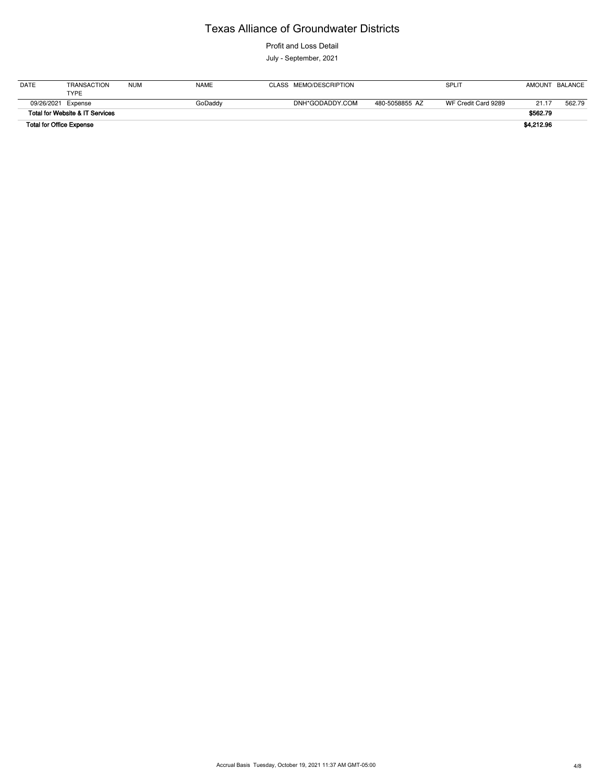Profit and Loss Detail

July - September, 2021

| <b>DATE</b> | TRANSACTION                     | <b>NUM</b> | <b>NAME</b> | CLASS MEMO/DESCRIPTION |                | <b>SPLIT</b>        |            | AMOUNT BALANCE |
|-------------|---------------------------------|------------|-------------|------------------------|----------------|---------------------|------------|----------------|
|             | <b>TYPE</b>                     |            |             |                        |                |                     |            |                |
|             | 09/26/2021 Expense              |            | GoDaddy     | DNH*GODADDY.COM        | 480-5058855 AZ | WF Credit Card 9289 | 21.17      | 562.79         |
|             | Total for Website & IT Services |            |             |                        |                |                     | \$562.79   |                |
|             | <b>Total for Office Expense</b> |            |             |                        |                |                     | \$4,212.96 |                |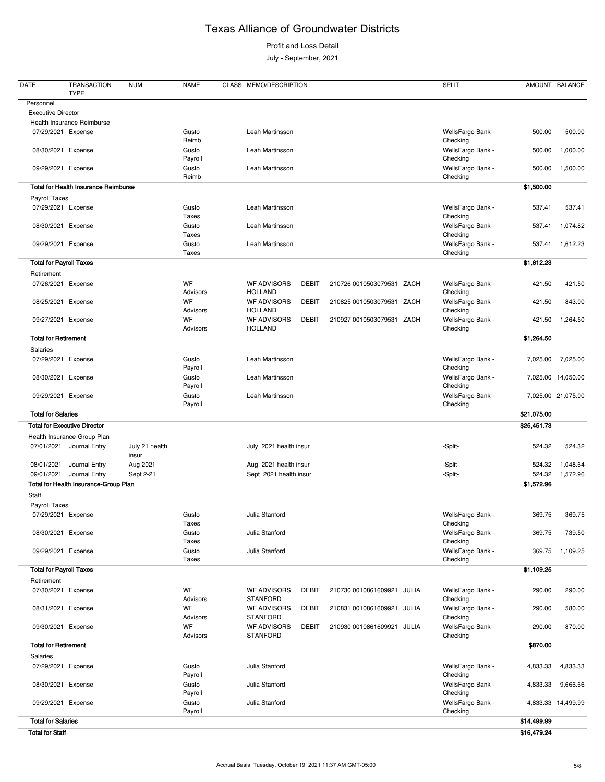Profit and Loss Detail

July - September, 2021

| <b>Executive Director</b><br>Health Insurance Reimburse<br>Leah Martinsson<br>07/29/2021 Expense<br>Gusto<br>WellsFargo Bank -<br>500.00<br>Reimb<br>Checking<br>WellsFargo Bank -<br>08/30/2021 Expense<br>Gusto<br>Leah Martinsson<br>500.00<br>Checking<br>Payroll<br>WellsFargo Bank -<br>09/29/2021 Expense<br>Gusto<br>Leah Martinsson<br>500.00<br>Reimb<br>Checking<br><b>Total for Health Insurance Reimburse</b><br>\$1,500.00<br>Payroll Taxes<br>07/29/2021 Expense<br>Leah Martinsson<br>WellsFargo Bank -<br>Gusto<br>537.41<br>Checking<br><b>Taxes</b><br>WellsFargo Bank -<br>Gusto<br>Leah Martinsson<br>08/30/2021 Expense<br>537.41<br>Taxes<br>Checking<br>Leah Martinsson<br>WellsFargo Bank -<br>09/29/2021 Expense<br>Gusto<br>537.41<br>Checking<br>Taxes<br><b>Total for Payroll Taxes</b><br>\$1,612.23<br>Retirement<br>WF<br><b>WF ADVISORS</b><br><b>DEBIT</b><br>WellsFargo Bank -<br>07/26/2021 Expense<br>210726 0010503079531 ZACH<br>421.50<br><b>HOLLAND</b><br>Advisors<br>Checking<br>WF<br><b>WF ADVISORS</b><br><b>DEBIT</b><br>WellsFargo Bank -<br>08/25/2021 Expense<br>210825 0010503079531<br>ZACH<br>421.50<br>Advisors<br><b>HOLLAND</b><br>Checking<br>WF<br><b>WF ADVISORS</b><br><b>DEBIT</b><br>210927 0010503079531<br>ZACH<br>WellsFargo Bank -<br>09/27/2021 Expense<br>421.50<br><b>HOLLAND</b><br>Advisors<br>Checking<br><b>Total for Retirement</b><br>\$1,264.50<br>Salaries<br>Leah Martinsson<br>WellsFargo Bank -<br>07/29/2021<br>Expense<br>Gusto<br>7,025.00<br>Payroll<br>Checking<br>Leah Martinsson<br>Expense<br>Gusto<br>WellsFargo Bank -<br>7,025.00 14,050.00<br>08/30/2021<br>Payroll<br>Checking<br>09/29/2021 Expense<br>Leah Martinsson<br>WellsFargo Bank -<br>7,025.00 21,075.00<br>Gusto<br>Checking<br>Payroll<br><b>Total for Salaries</b><br>\$21,075.00<br><b>Total for Executive Director</b><br>\$25,451.73<br>Health Insurance-Group Plan<br>07/01/2021 Journal Entry<br>July 2021 health insur<br>July 21 health<br>-Split-<br>524.32<br>insur<br>Journal Entry<br>Aug 2021<br>Aug 2021 health insur<br>-Split-<br>08/01/2021<br>524.32<br>Journal Entry<br>Sept 2-21<br>Sept 2021 health insur<br>09/01/2021<br>-Split-<br>524.32<br>Total for Health Insurance-Group Plan<br>\$1,572.96<br>Staff<br>Payroll Taxes<br>Julia Stanford<br>07/29/2021 Expense<br>Gusto<br>WellsFargo Bank -<br>369.75<br>Taxes<br>Checking<br>Julia Stanford<br>WellsFargo Bank -<br>08/30/2021 Expense<br>Gusto<br>369.75<br>Checking<br>Taxes<br>Gusto<br>Julia Stanford<br>WellsFargo Bank -<br>09/29/2021 Expense<br>369.75<br>Taxes<br>Checking<br><b>Total for Payroll Taxes</b><br>\$1,109.25<br>Retirement<br>WF<br><b>WF ADVISORS</b><br><b>DEBIT</b><br>WellsFargo Bank -<br>290.00<br>07/30/2021 Expense<br>210730 0010861609921<br>JULIA<br><b>STANFORD</b><br>Advisors<br>Checking<br>WF<br><b>WF ADVISORS</b><br><b>DEBIT</b><br>WellsFargo Bank -<br>08/31/2021 Expense<br>210831 0010861609921<br>JULIA<br>290.00<br>580.00<br>Advisors<br><b>STANFORD</b><br>Checking<br>WF<br><b>WF ADVISORS</b><br>WellsFargo Bank -<br>09/30/2021 Expense<br><b>DEBIT</b><br>210930 0010861609921<br>870.00<br>JULIA<br>290.00<br><b>STANFORD</b><br>Advisors<br>Checking<br><b>Total for Retirement</b><br>\$870.00<br>Salaries<br>Julia Stanford<br>WellsFargo Bank -<br>07/29/2021 Expense<br>Gusto<br>4,833.33<br>Checking<br>Payroll<br>Julia Stanford<br>WellsFargo Bank -<br>08/30/2021 Expense<br>Gusto<br>4,833.33<br>Payroll<br>Checking<br>WellsFargo Bank -<br>Gusto<br>Julia Stanford<br>09/29/2021 Expense<br>4,833.33 14,499.99<br>Payroll<br>Checking<br><b>Total for Salaries</b><br>\$14,499.99<br><b>Total for Staff</b><br>\$16,479.24 | <b>DATE</b> | <b>TRANSACTION</b><br><b>TYPE</b> | <b>NUM</b> | <b>NAME</b> | CLASS MEMO/DESCRIPTION |  | <b>SPLIT</b> | AMOUNT BALANCE |          |
|--------------------------------------------------------------------------------------------------------------------------------------------------------------------------------------------------------------------------------------------------------------------------------------------------------------------------------------------------------------------------------------------------------------------------------------------------------------------------------------------------------------------------------------------------------------------------------------------------------------------------------------------------------------------------------------------------------------------------------------------------------------------------------------------------------------------------------------------------------------------------------------------------------------------------------------------------------------------------------------------------------------------------------------------------------------------------------------------------------------------------------------------------------------------------------------------------------------------------------------------------------------------------------------------------------------------------------------------------------------------------------------------------------------------------------------------------------------------------------------------------------------------------------------------------------------------------------------------------------------------------------------------------------------------------------------------------------------------------------------------------------------------------------------------------------------------------------------------------------------------------------------------------------------------------------------------------------------------------------------------------------------------------------------------------------------------------------------------------------------------------------------------------------------------------------------------------------------------------------------------------------------------------------------------------------------------------------------------------------------------------------------------------------------------------------------------------------------------------------------------------------------------------------------------------------------------------------------------------------------------------------------------------------------------------------------------------------------------------------------------------------------------------------------------------------------------------------------------------------------------------------------------------------------------------------------------------------------------------------------------------------------------------------------------------------------------------------------------------------------------------------------------------------------------------------------------------------------------------------------------------------------------------------------------------------------------------------------------------------------------------------------------------------------------------------------------------------------------------------------------------------------------------------------------------------------------------------------------------------------------------------------------------------------------------------------------------------------------------------------|-------------|-----------------------------------|------------|-------------|------------------------|--|--------------|----------------|----------|
|                                                                                                                                                                                                                                                                                                                                                                                                                                                                                                                                                                                                                                                                                                                                                                                                                                                                                                                                                                                                                                                                                                                                                                                                                                                                                                                                                                                                                                                                                                                                                                                                                                                                                                                                                                                                                                                                                                                                                                                                                                                                                                                                                                                                                                                                                                                                                                                                                                                                                                                                                                                                                                                                                                                                                                                                                                                                                                                                                                                                                                                                                                                                                                                                                                                                                                                                                                                                                                                                                                                                                                                                                                                                                                                                      | Personnel   |                                   |            |             |                        |  |              |                |          |
|                                                                                                                                                                                                                                                                                                                                                                                                                                                                                                                                                                                                                                                                                                                                                                                                                                                                                                                                                                                                                                                                                                                                                                                                                                                                                                                                                                                                                                                                                                                                                                                                                                                                                                                                                                                                                                                                                                                                                                                                                                                                                                                                                                                                                                                                                                                                                                                                                                                                                                                                                                                                                                                                                                                                                                                                                                                                                                                                                                                                                                                                                                                                                                                                                                                                                                                                                                                                                                                                                                                                                                                                                                                                                                                                      |             |                                   |            |             |                        |  |              |                |          |
|                                                                                                                                                                                                                                                                                                                                                                                                                                                                                                                                                                                                                                                                                                                                                                                                                                                                                                                                                                                                                                                                                                                                                                                                                                                                                                                                                                                                                                                                                                                                                                                                                                                                                                                                                                                                                                                                                                                                                                                                                                                                                                                                                                                                                                                                                                                                                                                                                                                                                                                                                                                                                                                                                                                                                                                                                                                                                                                                                                                                                                                                                                                                                                                                                                                                                                                                                                                                                                                                                                                                                                                                                                                                                                                                      |             |                                   |            |             |                        |  |              |                |          |
|                                                                                                                                                                                                                                                                                                                                                                                                                                                                                                                                                                                                                                                                                                                                                                                                                                                                                                                                                                                                                                                                                                                                                                                                                                                                                                                                                                                                                                                                                                                                                                                                                                                                                                                                                                                                                                                                                                                                                                                                                                                                                                                                                                                                                                                                                                                                                                                                                                                                                                                                                                                                                                                                                                                                                                                                                                                                                                                                                                                                                                                                                                                                                                                                                                                                                                                                                                                                                                                                                                                                                                                                                                                                                                                                      |             |                                   |            |             |                        |  |              |                | 500.00   |
|                                                                                                                                                                                                                                                                                                                                                                                                                                                                                                                                                                                                                                                                                                                                                                                                                                                                                                                                                                                                                                                                                                                                                                                                                                                                                                                                                                                                                                                                                                                                                                                                                                                                                                                                                                                                                                                                                                                                                                                                                                                                                                                                                                                                                                                                                                                                                                                                                                                                                                                                                                                                                                                                                                                                                                                                                                                                                                                                                                                                                                                                                                                                                                                                                                                                                                                                                                                                                                                                                                                                                                                                                                                                                                                                      |             |                                   |            |             |                        |  |              |                | 1,000.00 |
|                                                                                                                                                                                                                                                                                                                                                                                                                                                                                                                                                                                                                                                                                                                                                                                                                                                                                                                                                                                                                                                                                                                                                                                                                                                                                                                                                                                                                                                                                                                                                                                                                                                                                                                                                                                                                                                                                                                                                                                                                                                                                                                                                                                                                                                                                                                                                                                                                                                                                                                                                                                                                                                                                                                                                                                                                                                                                                                                                                                                                                                                                                                                                                                                                                                                                                                                                                                                                                                                                                                                                                                                                                                                                                                                      |             |                                   |            |             |                        |  |              |                | 1,500.00 |
|                                                                                                                                                                                                                                                                                                                                                                                                                                                                                                                                                                                                                                                                                                                                                                                                                                                                                                                                                                                                                                                                                                                                                                                                                                                                                                                                                                                                                                                                                                                                                                                                                                                                                                                                                                                                                                                                                                                                                                                                                                                                                                                                                                                                                                                                                                                                                                                                                                                                                                                                                                                                                                                                                                                                                                                                                                                                                                                                                                                                                                                                                                                                                                                                                                                                                                                                                                                                                                                                                                                                                                                                                                                                                                                                      |             |                                   |            |             |                        |  |              |                |          |
|                                                                                                                                                                                                                                                                                                                                                                                                                                                                                                                                                                                                                                                                                                                                                                                                                                                                                                                                                                                                                                                                                                                                                                                                                                                                                                                                                                                                                                                                                                                                                                                                                                                                                                                                                                                                                                                                                                                                                                                                                                                                                                                                                                                                                                                                                                                                                                                                                                                                                                                                                                                                                                                                                                                                                                                                                                                                                                                                                                                                                                                                                                                                                                                                                                                                                                                                                                                                                                                                                                                                                                                                                                                                                                                                      |             |                                   |            |             |                        |  |              |                |          |
|                                                                                                                                                                                                                                                                                                                                                                                                                                                                                                                                                                                                                                                                                                                                                                                                                                                                                                                                                                                                                                                                                                                                                                                                                                                                                                                                                                                                                                                                                                                                                                                                                                                                                                                                                                                                                                                                                                                                                                                                                                                                                                                                                                                                                                                                                                                                                                                                                                                                                                                                                                                                                                                                                                                                                                                                                                                                                                                                                                                                                                                                                                                                                                                                                                                                                                                                                                                                                                                                                                                                                                                                                                                                                                                                      |             |                                   |            |             |                        |  |              |                | 537.41   |
|                                                                                                                                                                                                                                                                                                                                                                                                                                                                                                                                                                                                                                                                                                                                                                                                                                                                                                                                                                                                                                                                                                                                                                                                                                                                                                                                                                                                                                                                                                                                                                                                                                                                                                                                                                                                                                                                                                                                                                                                                                                                                                                                                                                                                                                                                                                                                                                                                                                                                                                                                                                                                                                                                                                                                                                                                                                                                                                                                                                                                                                                                                                                                                                                                                                                                                                                                                                                                                                                                                                                                                                                                                                                                                                                      |             |                                   |            |             |                        |  |              |                | 1,074.82 |
|                                                                                                                                                                                                                                                                                                                                                                                                                                                                                                                                                                                                                                                                                                                                                                                                                                                                                                                                                                                                                                                                                                                                                                                                                                                                                                                                                                                                                                                                                                                                                                                                                                                                                                                                                                                                                                                                                                                                                                                                                                                                                                                                                                                                                                                                                                                                                                                                                                                                                                                                                                                                                                                                                                                                                                                                                                                                                                                                                                                                                                                                                                                                                                                                                                                                                                                                                                                                                                                                                                                                                                                                                                                                                                                                      |             |                                   |            |             |                        |  |              |                | 1,612.23 |
|                                                                                                                                                                                                                                                                                                                                                                                                                                                                                                                                                                                                                                                                                                                                                                                                                                                                                                                                                                                                                                                                                                                                                                                                                                                                                                                                                                                                                                                                                                                                                                                                                                                                                                                                                                                                                                                                                                                                                                                                                                                                                                                                                                                                                                                                                                                                                                                                                                                                                                                                                                                                                                                                                                                                                                                                                                                                                                                                                                                                                                                                                                                                                                                                                                                                                                                                                                                                                                                                                                                                                                                                                                                                                                                                      |             |                                   |            |             |                        |  |              |                |          |
|                                                                                                                                                                                                                                                                                                                                                                                                                                                                                                                                                                                                                                                                                                                                                                                                                                                                                                                                                                                                                                                                                                                                                                                                                                                                                                                                                                                                                                                                                                                                                                                                                                                                                                                                                                                                                                                                                                                                                                                                                                                                                                                                                                                                                                                                                                                                                                                                                                                                                                                                                                                                                                                                                                                                                                                                                                                                                                                                                                                                                                                                                                                                                                                                                                                                                                                                                                                                                                                                                                                                                                                                                                                                                                                                      |             |                                   |            |             |                        |  |              |                |          |
|                                                                                                                                                                                                                                                                                                                                                                                                                                                                                                                                                                                                                                                                                                                                                                                                                                                                                                                                                                                                                                                                                                                                                                                                                                                                                                                                                                                                                                                                                                                                                                                                                                                                                                                                                                                                                                                                                                                                                                                                                                                                                                                                                                                                                                                                                                                                                                                                                                                                                                                                                                                                                                                                                                                                                                                                                                                                                                                                                                                                                                                                                                                                                                                                                                                                                                                                                                                                                                                                                                                                                                                                                                                                                                                                      |             |                                   |            |             |                        |  |              |                | 421.50   |
|                                                                                                                                                                                                                                                                                                                                                                                                                                                                                                                                                                                                                                                                                                                                                                                                                                                                                                                                                                                                                                                                                                                                                                                                                                                                                                                                                                                                                                                                                                                                                                                                                                                                                                                                                                                                                                                                                                                                                                                                                                                                                                                                                                                                                                                                                                                                                                                                                                                                                                                                                                                                                                                                                                                                                                                                                                                                                                                                                                                                                                                                                                                                                                                                                                                                                                                                                                                                                                                                                                                                                                                                                                                                                                                                      |             |                                   |            |             |                        |  |              |                | 843.00   |
|                                                                                                                                                                                                                                                                                                                                                                                                                                                                                                                                                                                                                                                                                                                                                                                                                                                                                                                                                                                                                                                                                                                                                                                                                                                                                                                                                                                                                                                                                                                                                                                                                                                                                                                                                                                                                                                                                                                                                                                                                                                                                                                                                                                                                                                                                                                                                                                                                                                                                                                                                                                                                                                                                                                                                                                                                                                                                                                                                                                                                                                                                                                                                                                                                                                                                                                                                                                                                                                                                                                                                                                                                                                                                                                                      |             |                                   |            |             |                        |  |              |                | 1,264.50 |
|                                                                                                                                                                                                                                                                                                                                                                                                                                                                                                                                                                                                                                                                                                                                                                                                                                                                                                                                                                                                                                                                                                                                                                                                                                                                                                                                                                                                                                                                                                                                                                                                                                                                                                                                                                                                                                                                                                                                                                                                                                                                                                                                                                                                                                                                                                                                                                                                                                                                                                                                                                                                                                                                                                                                                                                                                                                                                                                                                                                                                                                                                                                                                                                                                                                                                                                                                                                                                                                                                                                                                                                                                                                                                                                                      |             |                                   |            |             |                        |  |              |                |          |
|                                                                                                                                                                                                                                                                                                                                                                                                                                                                                                                                                                                                                                                                                                                                                                                                                                                                                                                                                                                                                                                                                                                                                                                                                                                                                                                                                                                                                                                                                                                                                                                                                                                                                                                                                                                                                                                                                                                                                                                                                                                                                                                                                                                                                                                                                                                                                                                                                                                                                                                                                                                                                                                                                                                                                                                                                                                                                                                                                                                                                                                                                                                                                                                                                                                                                                                                                                                                                                                                                                                                                                                                                                                                                                                                      |             |                                   |            |             |                        |  |              |                |          |
|                                                                                                                                                                                                                                                                                                                                                                                                                                                                                                                                                                                                                                                                                                                                                                                                                                                                                                                                                                                                                                                                                                                                                                                                                                                                                                                                                                                                                                                                                                                                                                                                                                                                                                                                                                                                                                                                                                                                                                                                                                                                                                                                                                                                                                                                                                                                                                                                                                                                                                                                                                                                                                                                                                                                                                                                                                                                                                                                                                                                                                                                                                                                                                                                                                                                                                                                                                                                                                                                                                                                                                                                                                                                                                                                      |             |                                   |            |             |                        |  |              |                | 7,025.00 |
|                                                                                                                                                                                                                                                                                                                                                                                                                                                                                                                                                                                                                                                                                                                                                                                                                                                                                                                                                                                                                                                                                                                                                                                                                                                                                                                                                                                                                                                                                                                                                                                                                                                                                                                                                                                                                                                                                                                                                                                                                                                                                                                                                                                                                                                                                                                                                                                                                                                                                                                                                                                                                                                                                                                                                                                                                                                                                                                                                                                                                                                                                                                                                                                                                                                                                                                                                                                                                                                                                                                                                                                                                                                                                                                                      |             |                                   |            |             |                        |  |              |                |          |
|                                                                                                                                                                                                                                                                                                                                                                                                                                                                                                                                                                                                                                                                                                                                                                                                                                                                                                                                                                                                                                                                                                                                                                                                                                                                                                                                                                                                                                                                                                                                                                                                                                                                                                                                                                                                                                                                                                                                                                                                                                                                                                                                                                                                                                                                                                                                                                                                                                                                                                                                                                                                                                                                                                                                                                                                                                                                                                                                                                                                                                                                                                                                                                                                                                                                                                                                                                                                                                                                                                                                                                                                                                                                                                                                      |             |                                   |            |             |                        |  |              |                |          |
|                                                                                                                                                                                                                                                                                                                                                                                                                                                                                                                                                                                                                                                                                                                                                                                                                                                                                                                                                                                                                                                                                                                                                                                                                                                                                                                                                                                                                                                                                                                                                                                                                                                                                                                                                                                                                                                                                                                                                                                                                                                                                                                                                                                                                                                                                                                                                                                                                                                                                                                                                                                                                                                                                                                                                                                                                                                                                                                                                                                                                                                                                                                                                                                                                                                                                                                                                                                                                                                                                                                                                                                                                                                                                                                                      |             |                                   |            |             |                        |  |              |                |          |
|                                                                                                                                                                                                                                                                                                                                                                                                                                                                                                                                                                                                                                                                                                                                                                                                                                                                                                                                                                                                                                                                                                                                                                                                                                                                                                                                                                                                                                                                                                                                                                                                                                                                                                                                                                                                                                                                                                                                                                                                                                                                                                                                                                                                                                                                                                                                                                                                                                                                                                                                                                                                                                                                                                                                                                                                                                                                                                                                                                                                                                                                                                                                                                                                                                                                                                                                                                                                                                                                                                                                                                                                                                                                                                                                      |             |                                   |            |             |                        |  |              |                |          |
|                                                                                                                                                                                                                                                                                                                                                                                                                                                                                                                                                                                                                                                                                                                                                                                                                                                                                                                                                                                                                                                                                                                                                                                                                                                                                                                                                                                                                                                                                                                                                                                                                                                                                                                                                                                                                                                                                                                                                                                                                                                                                                                                                                                                                                                                                                                                                                                                                                                                                                                                                                                                                                                                                                                                                                                                                                                                                                                                                                                                                                                                                                                                                                                                                                                                                                                                                                                                                                                                                                                                                                                                                                                                                                                                      |             |                                   |            |             |                        |  |              |                |          |
|                                                                                                                                                                                                                                                                                                                                                                                                                                                                                                                                                                                                                                                                                                                                                                                                                                                                                                                                                                                                                                                                                                                                                                                                                                                                                                                                                                                                                                                                                                                                                                                                                                                                                                                                                                                                                                                                                                                                                                                                                                                                                                                                                                                                                                                                                                                                                                                                                                                                                                                                                                                                                                                                                                                                                                                                                                                                                                                                                                                                                                                                                                                                                                                                                                                                                                                                                                                                                                                                                                                                                                                                                                                                                                                                      |             |                                   |            |             |                        |  |              |                | 524.32   |
|                                                                                                                                                                                                                                                                                                                                                                                                                                                                                                                                                                                                                                                                                                                                                                                                                                                                                                                                                                                                                                                                                                                                                                                                                                                                                                                                                                                                                                                                                                                                                                                                                                                                                                                                                                                                                                                                                                                                                                                                                                                                                                                                                                                                                                                                                                                                                                                                                                                                                                                                                                                                                                                                                                                                                                                                                                                                                                                                                                                                                                                                                                                                                                                                                                                                                                                                                                                                                                                                                                                                                                                                                                                                                                                                      |             |                                   |            |             |                        |  |              |                | 1,048.64 |
|                                                                                                                                                                                                                                                                                                                                                                                                                                                                                                                                                                                                                                                                                                                                                                                                                                                                                                                                                                                                                                                                                                                                                                                                                                                                                                                                                                                                                                                                                                                                                                                                                                                                                                                                                                                                                                                                                                                                                                                                                                                                                                                                                                                                                                                                                                                                                                                                                                                                                                                                                                                                                                                                                                                                                                                                                                                                                                                                                                                                                                                                                                                                                                                                                                                                                                                                                                                                                                                                                                                                                                                                                                                                                                                                      |             |                                   |            |             |                        |  |              |                | 1,572.96 |
|                                                                                                                                                                                                                                                                                                                                                                                                                                                                                                                                                                                                                                                                                                                                                                                                                                                                                                                                                                                                                                                                                                                                                                                                                                                                                                                                                                                                                                                                                                                                                                                                                                                                                                                                                                                                                                                                                                                                                                                                                                                                                                                                                                                                                                                                                                                                                                                                                                                                                                                                                                                                                                                                                                                                                                                                                                                                                                                                                                                                                                                                                                                                                                                                                                                                                                                                                                                                                                                                                                                                                                                                                                                                                                                                      |             |                                   |            |             |                        |  |              |                |          |
|                                                                                                                                                                                                                                                                                                                                                                                                                                                                                                                                                                                                                                                                                                                                                                                                                                                                                                                                                                                                                                                                                                                                                                                                                                                                                                                                                                                                                                                                                                                                                                                                                                                                                                                                                                                                                                                                                                                                                                                                                                                                                                                                                                                                                                                                                                                                                                                                                                                                                                                                                                                                                                                                                                                                                                                                                                                                                                                                                                                                                                                                                                                                                                                                                                                                                                                                                                                                                                                                                                                                                                                                                                                                                                                                      |             |                                   |            |             |                        |  |              |                |          |
|                                                                                                                                                                                                                                                                                                                                                                                                                                                                                                                                                                                                                                                                                                                                                                                                                                                                                                                                                                                                                                                                                                                                                                                                                                                                                                                                                                                                                                                                                                                                                                                                                                                                                                                                                                                                                                                                                                                                                                                                                                                                                                                                                                                                                                                                                                                                                                                                                                                                                                                                                                                                                                                                                                                                                                                                                                                                                                                                                                                                                                                                                                                                                                                                                                                                                                                                                                                                                                                                                                                                                                                                                                                                                                                                      |             |                                   |            |             |                        |  |              |                |          |
|                                                                                                                                                                                                                                                                                                                                                                                                                                                                                                                                                                                                                                                                                                                                                                                                                                                                                                                                                                                                                                                                                                                                                                                                                                                                                                                                                                                                                                                                                                                                                                                                                                                                                                                                                                                                                                                                                                                                                                                                                                                                                                                                                                                                                                                                                                                                                                                                                                                                                                                                                                                                                                                                                                                                                                                                                                                                                                                                                                                                                                                                                                                                                                                                                                                                                                                                                                                                                                                                                                                                                                                                                                                                                                                                      |             |                                   |            |             |                        |  |              |                | 369.75   |
|                                                                                                                                                                                                                                                                                                                                                                                                                                                                                                                                                                                                                                                                                                                                                                                                                                                                                                                                                                                                                                                                                                                                                                                                                                                                                                                                                                                                                                                                                                                                                                                                                                                                                                                                                                                                                                                                                                                                                                                                                                                                                                                                                                                                                                                                                                                                                                                                                                                                                                                                                                                                                                                                                                                                                                                                                                                                                                                                                                                                                                                                                                                                                                                                                                                                                                                                                                                                                                                                                                                                                                                                                                                                                                                                      |             |                                   |            |             |                        |  |              |                | 739.50   |
|                                                                                                                                                                                                                                                                                                                                                                                                                                                                                                                                                                                                                                                                                                                                                                                                                                                                                                                                                                                                                                                                                                                                                                                                                                                                                                                                                                                                                                                                                                                                                                                                                                                                                                                                                                                                                                                                                                                                                                                                                                                                                                                                                                                                                                                                                                                                                                                                                                                                                                                                                                                                                                                                                                                                                                                                                                                                                                                                                                                                                                                                                                                                                                                                                                                                                                                                                                                                                                                                                                                                                                                                                                                                                                                                      |             |                                   |            |             |                        |  |              |                | 1,109.25 |
|                                                                                                                                                                                                                                                                                                                                                                                                                                                                                                                                                                                                                                                                                                                                                                                                                                                                                                                                                                                                                                                                                                                                                                                                                                                                                                                                                                                                                                                                                                                                                                                                                                                                                                                                                                                                                                                                                                                                                                                                                                                                                                                                                                                                                                                                                                                                                                                                                                                                                                                                                                                                                                                                                                                                                                                                                                                                                                                                                                                                                                                                                                                                                                                                                                                                                                                                                                                                                                                                                                                                                                                                                                                                                                                                      |             |                                   |            |             |                        |  |              |                |          |
|                                                                                                                                                                                                                                                                                                                                                                                                                                                                                                                                                                                                                                                                                                                                                                                                                                                                                                                                                                                                                                                                                                                                                                                                                                                                                                                                                                                                                                                                                                                                                                                                                                                                                                                                                                                                                                                                                                                                                                                                                                                                                                                                                                                                                                                                                                                                                                                                                                                                                                                                                                                                                                                                                                                                                                                                                                                                                                                                                                                                                                                                                                                                                                                                                                                                                                                                                                                                                                                                                                                                                                                                                                                                                                                                      |             |                                   |            |             |                        |  |              |                |          |
|                                                                                                                                                                                                                                                                                                                                                                                                                                                                                                                                                                                                                                                                                                                                                                                                                                                                                                                                                                                                                                                                                                                                                                                                                                                                                                                                                                                                                                                                                                                                                                                                                                                                                                                                                                                                                                                                                                                                                                                                                                                                                                                                                                                                                                                                                                                                                                                                                                                                                                                                                                                                                                                                                                                                                                                                                                                                                                                                                                                                                                                                                                                                                                                                                                                                                                                                                                                                                                                                                                                                                                                                                                                                                                                                      |             |                                   |            |             |                        |  |              |                | 290.00   |
|                                                                                                                                                                                                                                                                                                                                                                                                                                                                                                                                                                                                                                                                                                                                                                                                                                                                                                                                                                                                                                                                                                                                                                                                                                                                                                                                                                                                                                                                                                                                                                                                                                                                                                                                                                                                                                                                                                                                                                                                                                                                                                                                                                                                                                                                                                                                                                                                                                                                                                                                                                                                                                                                                                                                                                                                                                                                                                                                                                                                                                                                                                                                                                                                                                                                                                                                                                                                                                                                                                                                                                                                                                                                                                                                      |             |                                   |            |             |                        |  |              |                |          |
|                                                                                                                                                                                                                                                                                                                                                                                                                                                                                                                                                                                                                                                                                                                                                                                                                                                                                                                                                                                                                                                                                                                                                                                                                                                                                                                                                                                                                                                                                                                                                                                                                                                                                                                                                                                                                                                                                                                                                                                                                                                                                                                                                                                                                                                                                                                                                                                                                                                                                                                                                                                                                                                                                                                                                                                                                                                                                                                                                                                                                                                                                                                                                                                                                                                                                                                                                                                                                                                                                                                                                                                                                                                                                                                                      |             |                                   |            |             |                        |  |              |                |          |
|                                                                                                                                                                                                                                                                                                                                                                                                                                                                                                                                                                                                                                                                                                                                                                                                                                                                                                                                                                                                                                                                                                                                                                                                                                                                                                                                                                                                                                                                                                                                                                                                                                                                                                                                                                                                                                                                                                                                                                                                                                                                                                                                                                                                                                                                                                                                                                                                                                                                                                                                                                                                                                                                                                                                                                                                                                                                                                                                                                                                                                                                                                                                                                                                                                                                                                                                                                                                                                                                                                                                                                                                                                                                                                                                      |             |                                   |            |             |                        |  |              |                |          |
|                                                                                                                                                                                                                                                                                                                                                                                                                                                                                                                                                                                                                                                                                                                                                                                                                                                                                                                                                                                                                                                                                                                                                                                                                                                                                                                                                                                                                                                                                                                                                                                                                                                                                                                                                                                                                                                                                                                                                                                                                                                                                                                                                                                                                                                                                                                                                                                                                                                                                                                                                                                                                                                                                                                                                                                                                                                                                                                                                                                                                                                                                                                                                                                                                                                                                                                                                                                                                                                                                                                                                                                                                                                                                                                                      |             |                                   |            |             |                        |  |              |                |          |
|                                                                                                                                                                                                                                                                                                                                                                                                                                                                                                                                                                                                                                                                                                                                                                                                                                                                                                                                                                                                                                                                                                                                                                                                                                                                                                                                                                                                                                                                                                                                                                                                                                                                                                                                                                                                                                                                                                                                                                                                                                                                                                                                                                                                                                                                                                                                                                                                                                                                                                                                                                                                                                                                                                                                                                                                                                                                                                                                                                                                                                                                                                                                                                                                                                                                                                                                                                                                                                                                                                                                                                                                                                                                                                                                      |             |                                   |            |             |                        |  |              |                |          |
|                                                                                                                                                                                                                                                                                                                                                                                                                                                                                                                                                                                                                                                                                                                                                                                                                                                                                                                                                                                                                                                                                                                                                                                                                                                                                                                                                                                                                                                                                                                                                                                                                                                                                                                                                                                                                                                                                                                                                                                                                                                                                                                                                                                                                                                                                                                                                                                                                                                                                                                                                                                                                                                                                                                                                                                                                                                                                                                                                                                                                                                                                                                                                                                                                                                                                                                                                                                                                                                                                                                                                                                                                                                                                                                                      |             |                                   |            |             |                        |  |              |                | 4,833.33 |
|                                                                                                                                                                                                                                                                                                                                                                                                                                                                                                                                                                                                                                                                                                                                                                                                                                                                                                                                                                                                                                                                                                                                                                                                                                                                                                                                                                                                                                                                                                                                                                                                                                                                                                                                                                                                                                                                                                                                                                                                                                                                                                                                                                                                                                                                                                                                                                                                                                                                                                                                                                                                                                                                                                                                                                                                                                                                                                                                                                                                                                                                                                                                                                                                                                                                                                                                                                                                                                                                                                                                                                                                                                                                                                                                      |             |                                   |            |             |                        |  |              |                | 9,666.66 |
|                                                                                                                                                                                                                                                                                                                                                                                                                                                                                                                                                                                                                                                                                                                                                                                                                                                                                                                                                                                                                                                                                                                                                                                                                                                                                                                                                                                                                                                                                                                                                                                                                                                                                                                                                                                                                                                                                                                                                                                                                                                                                                                                                                                                                                                                                                                                                                                                                                                                                                                                                                                                                                                                                                                                                                                                                                                                                                                                                                                                                                                                                                                                                                                                                                                                                                                                                                                                                                                                                                                                                                                                                                                                                                                                      |             |                                   |            |             |                        |  |              |                |          |
|                                                                                                                                                                                                                                                                                                                                                                                                                                                                                                                                                                                                                                                                                                                                                                                                                                                                                                                                                                                                                                                                                                                                                                                                                                                                                                                                                                                                                                                                                                                                                                                                                                                                                                                                                                                                                                                                                                                                                                                                                                                                                                                                                                                                                                                                                                                                                                                                                                                                                                                                                                                                                                                                                                                                                                                                                                                                                                                                                                                                                                                                                                                                                                                                                                                                                                                                                                                                                                                                                                                                                                                                                                                                                                                                      |             |                                   |            |             |                        |  |              |                |          |
|                                                                                                                                                                                                                                                                                                                                                                                                                                                                                                                                                                                                                                                                                                                                                                                                                                                                                                                                                                                                                                                                                                                                                                                                                                                                                                                                                                                                                                                                                                                                                                                                                                                                                                                                                                                                                                                                                                                                                                                                                                                                                                                                                                                                                                                                                                                                                                                                                                                                                                                                                                                                                                                                                                                                                                                                                                                                                                                                                                                                                                                                                                                                                                                                                                                                                                                                                                                                                                                                                                                                                                                                                                                                                                                                      |             |                                   |            |             |                        |  |              |                |          |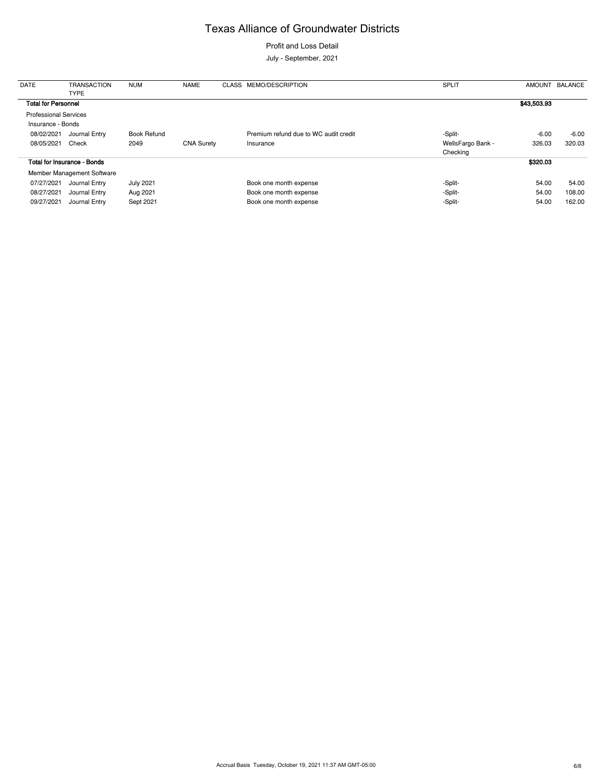Profit and Loss Detail

July - September, 2021

| <b>DATE</b>                  | <b>TRANSACTION</b><br><b>TYPE</b>  | <b>NUM</b>         | <b>NAME</b>       | CLASS MEMO/DESCRIPTION                | <b>SPLIT</b>      | <b>AMOUNT</b> | <b>BALANCE</b> |
|------------------------------|------------------------------------|--------------------|-------------------|---------------------------------------|-------------------|---------------|----------------|
| <b>Total for Personnel</b>   |                                    |                    |                   |                                       |                   | \$43,503.93   |                |
| <b>Professional Services</b> |                                    |                    |                   |                                       |                   |               |                |
| Insurance - Bonds            |                                    |                    |                   |                                       |                   |               |                |
| 08/02/2021                   | Journal Entry                      | <b>Book Refund</b> |                   | Premium refund due to WC audit credit | -Split-           | $-6.00$       | $-6.00$        |
| 08/05/2021                   | Check                              | 2049               | <b>CNA Surety</b> | Insurance                             | WellsFargo Bank - | 326.03        | 320.03         |
|                              |                                    |                    |                   |                                       | Checking          |               |                |
|                              | <b>Total for Insurance - Bonds</b> |                    |                   |                                       |                   | \$320.03      |                |
|                              | Member Management Software         |                    |                   |                                       |                   |               |                |
| 07/27/2021                   | Journal Entry                      | <b>July 2021</b>   |                   | Book one month expense                | -Split-           | 54.00         | 54.00          |
| 08/27/2021                   | Journal Entry                      | Aug 2021           |                   | Book one month expense                | -Split-           | 54.00         | 108.00         |
| 09/27/2021                   | Journal Entry                      | Sept 2021          |                   | Book one month expense                | -Split-           | 54.00         | 162.00         |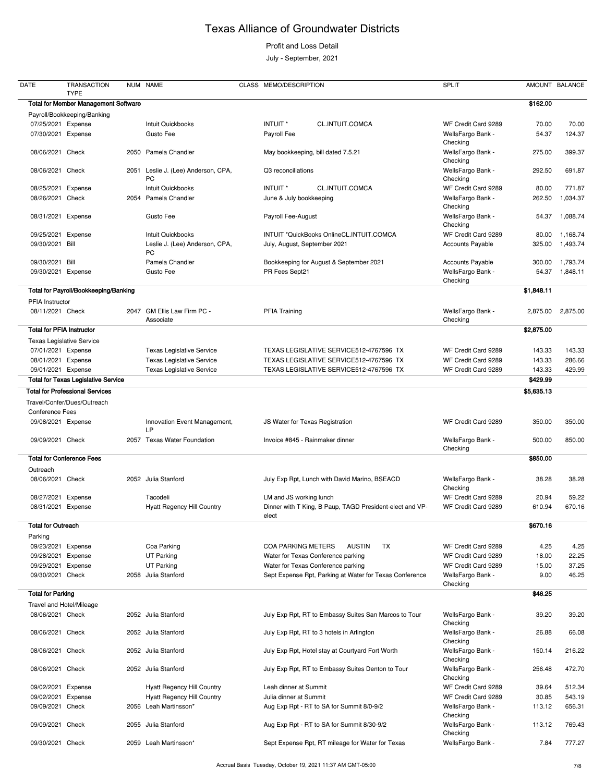### Profit and Loss Detail

July - September, 2021

| <b>DATE</b>                      | <b>TRANSACTION</b><br><b>TYPE</b>           |      | NUM NAME                                  | CLASS MEMO/DESCRIPTION                                            | <b>SPLIT</b>                  |            | AMOUNT BALANCE |
|----------------------------------|---------------------------------------------|------|-------------------------------------------|-------------------------------------------------------------------|-------------------------------|------------|----------------|
|                                  | <b>Total for Member Management Software</b> |      |                                           |                                                                   |                               | \$162.00   |                |
|                                  | Payroll/Bookkeeping/Banking                 |      |                                           |                                                                   |                               |            |                |
| 07/25/2021 Expense               |                                             |      | Intuit Quickbooks                         | INTUIT <sup>*</sup><br><b>CL.INTUIT.COMCA</b>                     | WF Credit Card 9289           | 70.00      | 70.00          |
| 07/30/2021                       | Expense                                     |      | Gusto Fee                                 | Payroll Fee                                                       | WellsFargo Bank -<br>Checking | 54.37      | 124.37         |
| 08/06/2021 Check                 |                                             | 2050 | Pamela Chandler                           | May bookkeeping, bill dated 7.5.21                                | WellsFargo Bank -<br>Checking | 275.00     | 399.37         |
| 08/06/2021 Check                 |                                             | 2051 | Leslie J. (Lee) Anderson, CPA,<br>PC      | Q3 reconciliations                                                | WellsFargo Bank -<br>Checking | 292.50     | 691.87         |
| 08/25/2021                       | Expense                                     |      | Intuit Quickbooks                         | CL.INTUIT.COMCA<br>INTUIT <sup>*</sup>                            | WF Credit Card 9289           | 80.00      | 771.87         |
| 08/26/2021                       | Check                                       |      | 2054 Pamela Chandler                      | June & July bookkeeping                                           | WellsFargo Bank -<br>Checking | 262.50     | 1,034.37       |
| 08/31/2021                       | Expense                                     |      | Gusto Fee                                 | Payroll Fee-August                                                | WellsFargo Bank -<br>Checking | 54.37      | 1,088.74       |
| 09/25/2021                       | Expense                                     |      | Intuit Quickbooks                         | INTUIT *QuickBooks OnlineCL.INTUIT.COMCA                          | WF Credit Card 9289           | 80.00      | 1,168.74       |
| 09/30/2021                       | Bill                                        |      | Leslie J. (Lee) Anderson, CPA,<br>PC      | July, August, September 2021                                      | <b>Accounts Payable</b>       | 325.00     | 1,493.74       |
| 09/30/2021                       | Bill                                        |      | Pamela Chandler                           | Bookkeeping for August & September 2021                           | Accounts Payable              | 300.00     | 1,793.74       |
| 09/30/2021                       | Expense                                     |      | Gusto Fee                                 | PR Fees Sept21                                                    | WellsFargo Bank -<br>Checking | 54.37      | 1,848.11       |
|                                  | Total for Payroll/Bookkeeping/Banking       |      |                                           |                                                                   |                               | \$1,848.11 |                |
| PFIA Instructor                  |                                             |      |                                           |                                                                   |                               |            |                |
| 08/11/2021 Check                 |                                             |      | 2047 GM Ellis Law Firm PC -<br>Associate  | <b>PFIA Training</b>                                              | WellsFargo Bank -<br>Checking | 2,875.00   | 2,875.00       |
| <b>Total for PFIA Instructor</b> |                                             |      |                                           |                                                                   |                               | \$2,875.00 |                |
|                                  | <b>Texas Legislative Service</b>            |      |                                           |                                                                   |                               |            |                |
| 07/01/2021 Expense               |                                             |      | <b>Texas Legislative Service</b>          | TEXAS LEGISLATIVE SERVICE512-4767596 TX                           | WF Credit Card 9289           | 143.33     | 143.33         |
| 08/01/2021                       | Expense                                     |      | <b>Texas Legislative Service</b>          | TEXAS LEGISLATIVE SERVICE512-4767596 TX                           | WF Credit Card 9289           | 143.33     | 286.66         |
| 09/01/2021 Expense               |                                             |      | <b>Texas Legislative Service</b>          | TEXAS LEGISLATIVE SERVICE512-4767596 TX                           | WF Credit Card 9289           | 143.33     | 429.99         |
|                                  | <b>Total for Texas Legislative Service</b>  |      |                                           |                                                                   |                               | \$429.99   |                |
|                                  | <b>Total for Professional Services</b>      |      |                                           |                                                                   |                               | \$5,635.13 |                |
|                                  | Travel/Confer/Dues/Outreach                 |      |                                           |                                                                   |                               |            |                |
| <b>Conference Fees</b>           |                                             |      |                                           |                                                                   |                               |            |                |
| 09/08/2021 Expense               |                                             |      | Innovation Event Management,<br><b>LP</b> | JS Water for Texas Registration                                   | WF Credit Card 9289           | 350.00     | 350.00         |
| 09/09/2021 Check                 |                                             | 2057 | <b>Texas Water Foundation</b>             | Invoice #845 - Rainmaker dinner                                   | WellsFargo Bank -<br>Checking | 500.00     | 850.00         |
|                                  | <b>Total for Conference Fees</b>            |      |                                           |                                                                   |                               | \$850.00   |                |
| Outreach                         |                                             |      |                                           |                                                                   |                               |            |                |
| 08/06/2021 Check                 |                                             |      | 2052 Julia Stanford                       | July Exp Rpt, Lunch with David Marino, BSEACD                     | WellsFargo Bank -<br>Checking | 38.28      | 38.28          |
| 08/27/2021                       | Expense                                     |      | Tacodeli                                  | LM and JS working lunch                                           | WF Credit Card 9289           | 20.94      | 59.22          |
| 08/31/2021                       | Expense                                     |      | <b>Hyatt Regency Hill Country</b>         | Dinner with T King, B Paup, TAGD President-elect and VP-<br>elect | WF Credit Card 9289           | 610.94     | 670.16         |
| <b>Total for Outreach</b>        |                                             |      |                                           |                                                                   |                               | \$670.16   |                |
| Parking                          |                                             |      |                                           |                                                                   |                               |            |                |
| 09/23/2021                       | Expense                                     |      | Coa Parking                               | <b>COA PARKING METERS</b><br><b>AUSTIN</b><br>TX                  | WF Credit Card 9289           | 4.25       | 4.25           |
| 09/28/2021                       | Expense                                     |      | <b>UT Parking</b>                         | Water for Texas Conference parking                                | WF Credit Card 9289           | 18.00      | 22.25          |
| 09/29/2021                       | Expense                                     |      | UT Parking                                | Water for Texas Conference parking                                | WF Credit Card 9289           | 15.00      | 37.25          |
| 09/30/2021 Check                 |                                             |      | 2058 Julia Stanford                       | Sept Expense Rpt, Parking at Water for Texas Conference           | WellsFargo Bank -<br>Checking | 9.00       | 46.25          |
| <b>Total for Parking</b>         |                                             |      |                                           |                                                                   |                               | \$46.25    |                |
|                                  | Travel and Hotel/Mileage                    |      |                                           |                                                                   |                               |            |                |
| 08/06/2021 Check                 |                                             |      | 2052 Julia Stanford                       | July Exp Rpt, RT to Embassy Suites San Marcos to Tour             | WellsFargo Bank -             | 39.20      | 39.20          |

|                    |         |      |                                   |                                                   | Checking            |        |        |
|--------------------|---------|------|-----------------------------------|---------------------------------------------------|---------------------|--------|--------|
| 08/06/2021         | Check   |      | 2052 Julia Stanford               | July Exp Rpt, RT to 3 hotels in Arlington         | WellsFargo Bank -   | 26.88  | 66.08  |
|                    |         |      |                                   |                                                   | Checking            |        |        |
| 08/06/2021         | Check   |      | 2052 Julia Stanford               | July Exp Rpt, Hotel stay at Courtyard Fort Worth  | WellsFargo Bank -   | 150.14 | 216.22 |
|                    |         |      |                                   |                                                   | Checking            |        |        |
| 08/06/2021 Check   |         | 2052 | Julia Stanford                    | July Exp Rpt, RT to Embassy Suites Denton to Tour | WellsFargo Bank -   | 256.48 | 472.70 |
|                    |         |      |                                   |                                                   | Checking            |        |        |
| 09/02/2021         | Expense |      | <b>Hyatt Regency Hill Country</b> | Leah dinner at Summit                             | WF Credit Card 9289 | 39.64  | 512.34 |
| 09/02/2021 Expense |         |      | <b>Hyatt Regency Hill Country</b> | Julia dinner at Summit                            | WF Credit Card 9289 | 30.85  | 543.19 |
| 09/09/2021         | Check   | 2056 | Leah Martinsson*                  | Aug Exp Rpt - RT to SA for Summit 8/0-9/2         | WellsFargo Bank -   | 113.12 | 656.31 |
|                    |         |      |                                   |                                                   | Checking            |        |        |
| 09/09/2021 Check   |         | 2055 | Julia Stanford                    | Aug Exp Rpt - RT to SA for Summit 8/30-9/2        | WellsFargo Bank -   | 113.12 | 769.43 |
|                    |         |      |                                   |                                                   | Checking            |        |        |
| 09/30/2021         | Check   | 2059 | Leah Martinsson*                  | Sept Expense Rpt, RT mileage for Water for Texas  | WellsFargo Bank -   | 7.84   | 777.27 |